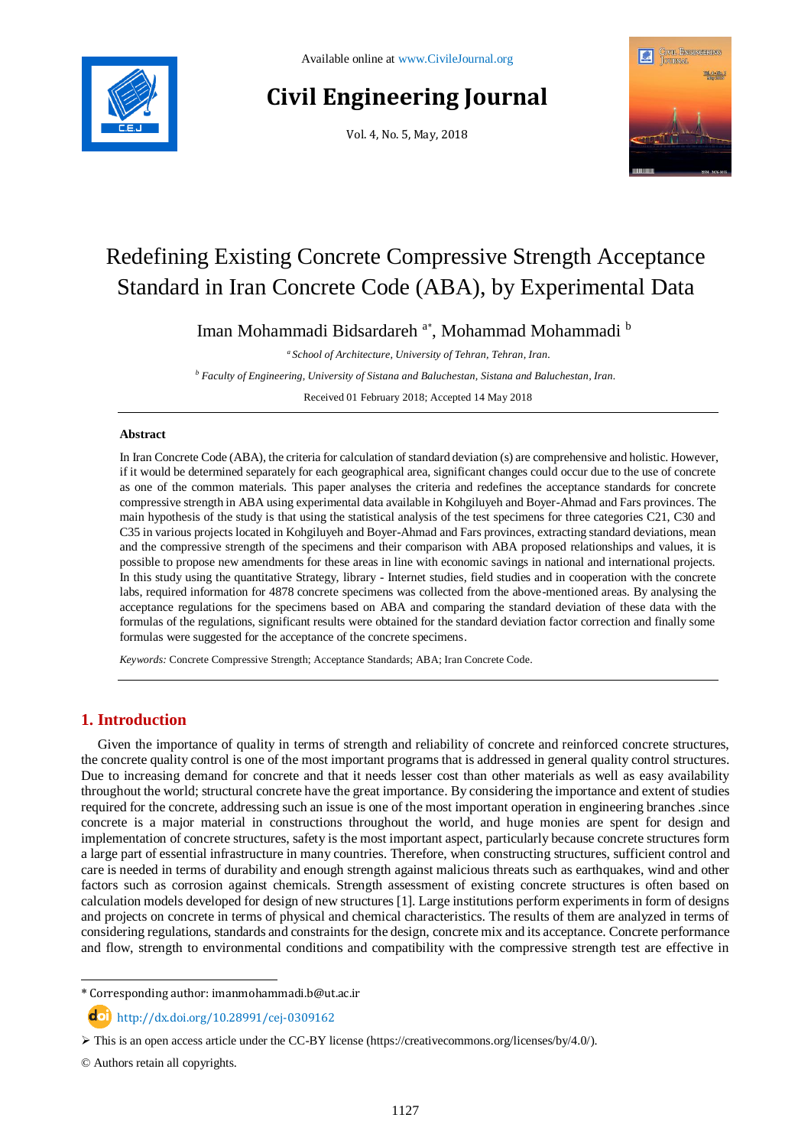

# **Civil Engineering Journal**

Vol. 4, No. 5, May, 2018



# Redefining Existing Concrete Compressive Strength Acceptance Standard in Iran Concrete Code (ABA), by Experimental Data

Iman Mohammadi Bidsardareh<sup>a\*</sup>, Mohammad Mohammadi <sup>b</sup>

*a School of Architecture, University of Tehran, Tehran, Iran.*

*<sup>b</sup> Faculty of Engineering, University of Sistana and Baluchestan, Sistana and Baluchestan, Iran.*

Received 01 February 2018; Accepted 14 May 2018

### **Abstract**

In Iran Concrete Code (ABA), the criteria for calculation of standard deviation (s) are comprehensive and holistic. However, if it would be determined separately for each geographical area, significant changes could occur due to the use of concrete as one of the common materials. This paper analyses the criteria and redefines the acceptance standards for concrete compressive strength in ABA using experimental data available in Kohgiluyeh and Boyer-Ahmad and Fars provinces. The main hypothesis of the study is that using the statistical analysis of the test specimens for three categories C21, C30 and C35 in various projects located in Kohgiluyeh and Boyer-Ahmad and Fars provinces, extracting standard deviations, mean and the compressive strength of the specimens and their comparison with ABA proposed relationships and values, it is possible to propose new amendments for these areas in line with economic savings in national and international projects. In this study using the quantitative Strategy, library - Internet studies, field studies and in cooperation with the concrete labs, required information for 4878 concrete specimens was collected from the above-mentioned areas. By analysing the acceptance regulations for the specimens based on ABA and comparing the standard deviation of these data with the formulas of the regulations, significant results were obtained for the standard deviation factor correction and finally some formulas were suggested for the acceptance of the concrete specimens.

*Keywords:* Concrete Compressive Strength; Acceptance Standards; ABA; Iran Concrete Code.

# **1. Introduction**

Given the importance of quality in terms of strength and reliability of concrete and reinforced concrete structures, the concrete quality control is one of the most important programs that is addressed in general quality control structures. Due to increasing demand for concrete and that it needs lesser cost than other materials as well as easy availability throughout the world; structural concrete have the great importance. By considering the importance and extent of studies required for the concrete, addressing such an issue is one of the most important operation in engineering branches .since concrete is a major material in constructions throughout the world, and huge monies are spent for design and implementation of concrete structures, safety is the most important aspect, particularly because concrete structures form a large part of essential infrastructure in many countries. Therefore, when constructing structures, sufficient control and care is needed in terms of durability and enough strength against malicious threats such as earthquakes, wind and other factors such as corrosion against chemicals. Strength assessment of existing concrete structures is often based on calculation models developed for design of new structures [1]. Large institutions perform experiments in form of designs and projects on concrete in terms of physical and chemical characteristics. The results of them are analyzed in terms of considering regulations, standards and constraints for the design, concrete mix and its acceptance. Concrete performance and flow, strength to environmental conditions and compatibility with the compressive strength test are effective in

l

<sup>\*</sup> Corresponding author: imanmohammadi.b@ut.ac.ir

 $\text{d}$  http://dx.doi.org/10.28991/cej-0309162

 $\triangleright$  This is an open access article under the CC-BY license [\(https://creativecommons.org/licenses/by/4.0/\)](https://creativecommons.org/licenses/by/4.0/).

<sup>©</sup> Authors retain all copyrights.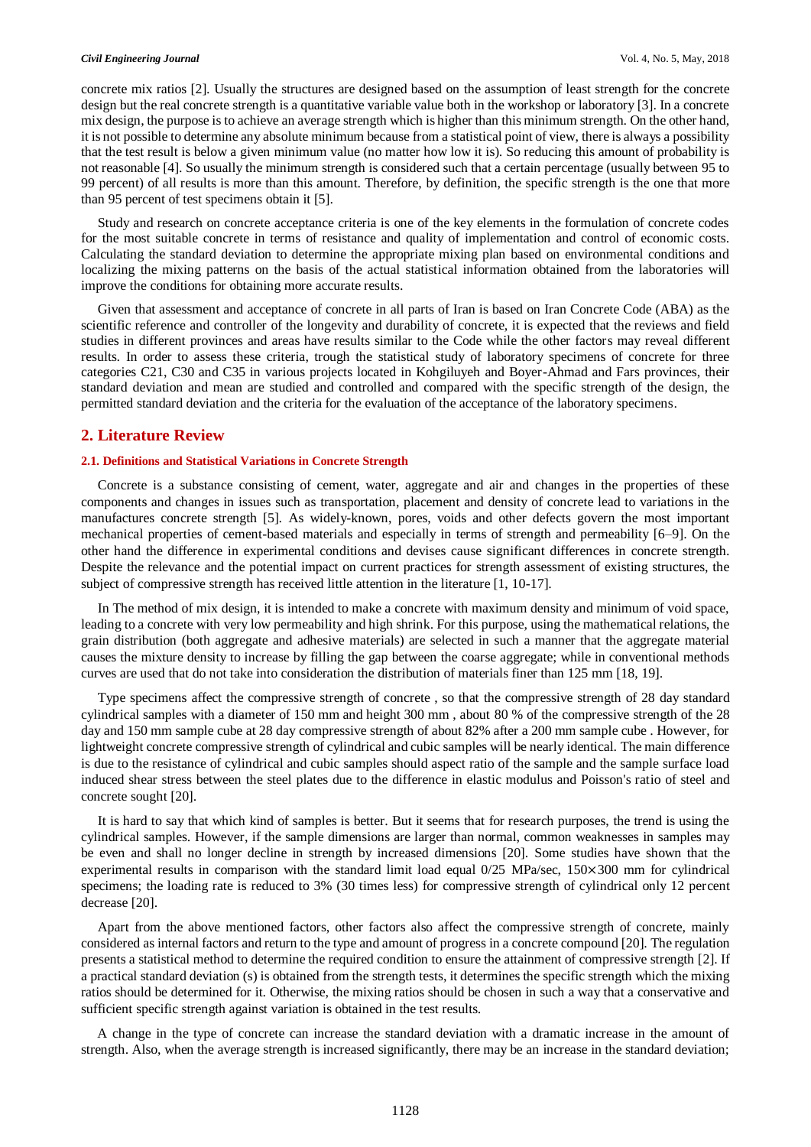#### *Civil Engineering Journal* Vol. 4, No. 5, May, 2018

concrete mix ratios [2]. Usually the structures are designed based on the assumption of least strength for the concrete design but the real concrete strength is a quantitative variable value both in the workshop or laboratory [3]. In a concrete mix design, the purpose is to achieve an average strength which is higher than this minimum strength. On the other hand, it is not possible to determine any absolute minimum because from a statistical point of view, there is always a possibility that the test result is below a given minimum value (no matter how low it is). So reducing this amount of probability is not reasonable [4]. So usually the minimum strength is considered such that a certain percentage (usually between 95 to 99 percent) of all results is more than this amount. Therefore, by definition, the specific strength is the one that more than 95 percent of test specimens obtain it [5].

Study and research on concrete acceptance criteria is one of the key elements in the formulation of concrete codes for the most suitable concrete in terms of resistance and quality of implementation and control of economic costs. Calculating the standard deviation to determine the appropriate mixing plan based on environmental conditions and localizing the mixing patterns on the basis of the actual statistical information obtained from the laboratories will improve the conditions for obtaining more accurate results.

Given that assessment and acceptance of concrete in all parts of Iran is based on Iran Concrete Code (ABA) as the scientific reference and controller of the longevity and durability of concrete, it is expected that the reviews and field studies in different provinces and areas have results similar to the Code while the other factors may reveal different results. In order to assess these criteria, trough the statistical study of laboratory specimens of concrete for three categories C21, C30 and C35 in various projects located in Kohgiluyeh and Boyer-Ahmad and Fars provinces, their standard deviation and mean are studied and controlled and compared with the specific strength of the design, the permitted standard deviation and the criteria for the evaluation of the acceptance of the laboratory specimens.

### **2. Literature Review**

#### **2.1. Definitions and Statistical Variations in Concrete Strength**

Concrete is a substance consisting of cement, water, aggregate and air and changes in the properties of these components and changes in issues such as transportation, placement and density of concrete lead to variations in the manufactures concrete strength [5]. As widely-known, pores, voids and other defects govern the most important mechanical properties of cement-based materials and especially in terms of strength and permeability [6–9]. On the other hand the difference in experimental conditions and devises cause significant differences in concrete strength. Despite the relevance and the potential impact on current practices for strength assessment of existing structures, the subject of compressive strength has received little attention in the literature [1, 10-17].

In The method of mix design, it is intended to make a concrete with maximum density and minimum of void space, leading to a concrete with very low permeability and high shrink. For this purpose, using the mathematical relations, the grain distribution (both aggregate and adhesive materials) are selected in such a manner that the aggregate material causes the mixture density to increase by filling the gap between the coarse aggregate; while in conventional methods curves are used that do not take into consideration the distribution of materials finer than 125 mm [18, 19].

Type specimens affect the compressive strength of concrete , so that the compressive strength of 28 day standard cylindrical samples with a diameter of 150 mm and height 300 mm , about 80 % of the compressive strength of the 28 day and 150 mm sample cube at 28 day compressive strength of about 82% after a 200 mm sample cube . However, for lightweight concrete compressive strength of cylindrical and cubic samples will be nearly identical. The main difference is due to the resistance of cylindrical and cubic samples should aspect ratio of the sample and the sample surface load induced shear stress between the steel plates due to the difference in elastic modulus and Poisson's ratio of steel and concrete sought [20].

It is hard to say that which kind of samples is better. But it seems that for research purposes, the trend is using the cylindrical samples. However, if the sample dimensions are larger than normal, common weaknesses in samples may be even and shall no longer decline in strength by increased dimensions [20]. Some studies have shown that the experimental results in comparison with the standard limit load equal 0/25 MPa/sec, 150×300 mm for cylindrical specimens; the loading rate is reduced to 3% (30 times less) for compressive strength of cylindrical only 12 percent decrease [20].

Apart from the above mentioned factors, other factors also affect the compressive strength of concrete, mainly considered as internal factors and return to the type and amount of progress in a concrete compound [20]. The regulation presents a statistical method to determine the required condition to ensure the attainment of compressive strength [2]. If a practical standard deviation (s) is obtained from the strength tests, it determines the specific strength which the mixing ratios should be determined for it. Otherwise, the mixing ratios should be chosen in such a way that a conservative and sufficient specific strength against variation is obtained in the test results.

A change in the type of concrete can increase the standard deviation with a dramatic increase in the amount of strength. Also, when the average strength is increased significantly, there may be an increase in the standard deviation;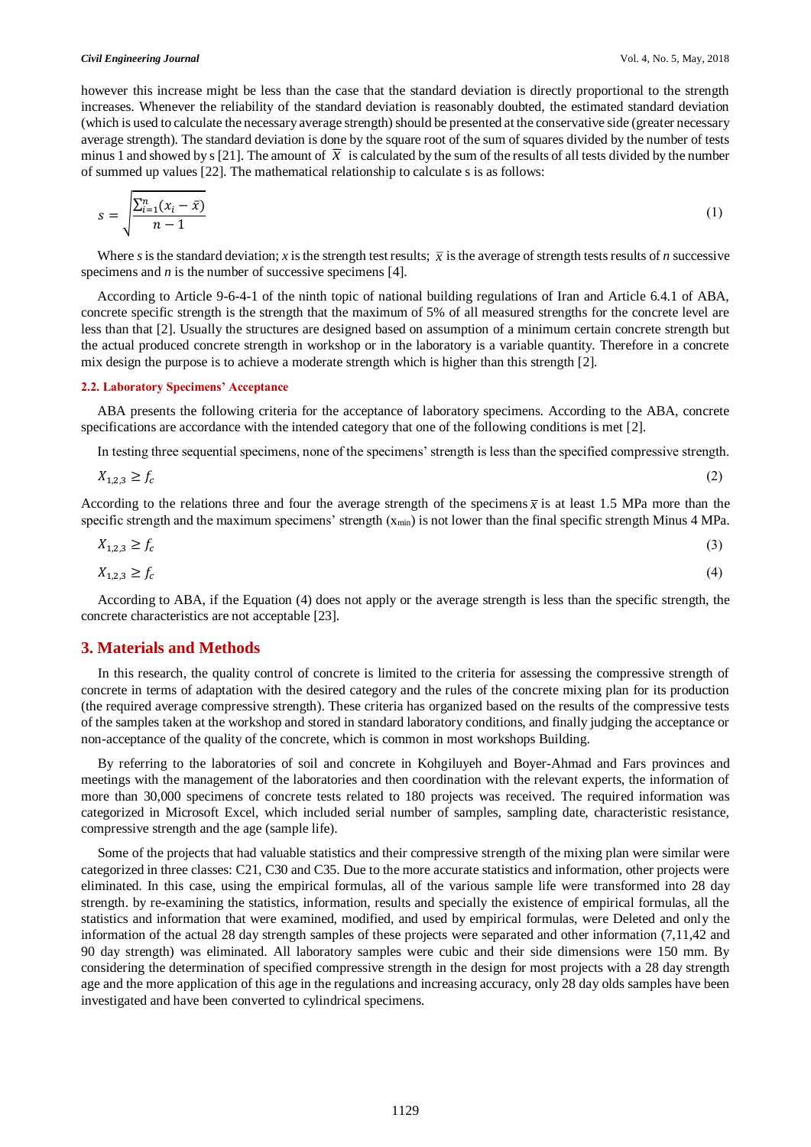however this increase might be less than the case that the standard deviation is directly proportional to the strength increases. Whenever the reliability of the standard deviation is reasonably doubted, the estimated standard deviation (which is used to calculate the necessary average strength) should be presented at the conservative side (greater necessary average strength). The standard deviation is done by the square root of the sum of squares divided by the number of tests minus 1 and showed by s [21]. The amount of  $\bar{x}$  is calculated by the sum of the results of all tests divided by the number of summed up values [22]. The mathematical relationship to calculate s is as follows:

$$
s = \sqrt{\frac{\sum_{i=1}^{n} (x_i - \bar{x})}{n-1}}
$$
 (1)

Where *s* is the standard deviation; *x* is the strength test results;  $\bar{x}$  is the average of strength tests results of *n* successive specimens and *n* is the number of successive specimens [4].

According to Article 9-6-4-1 of the ninth topic of national building regulations of Iran and Article 6.4.1 of ABA, concrete specific strength is the strength that the maximum of 5% of all measured strengths for the concrete level are less than that [2]. Usually the structures are designed based on assumption of a minimum certain concrete strength but the actual produced concrete strength in workshop or in the laboratory is a variable quantity. Therefore in a concrete mix design the purpose is to achieve a moderate strength which is higher than this strength [2].

#### **2.2. Laboratory Specimens' Acceptance**

ABA presents the following criteria for the acceptance of laboratory specimens. According to the ABA, concrete specifications are accordance with the intended category that one of the following conditions is met [2].

In testing three sequential specimens, none of the specimens' strength is less than the specified compressive strength.

$$
X_{1,2,3} \ge f_c \tag{2}
$$

According to the relations three and four the average strength of the specimens  $\bar{x}$  is at least 1.5 MPa more than the specific strength and the maximum specimens' strength  $(x_{min})$  is not lower than the final specific strength Minus 4 MPa.

$$
X_{1,2,3} \ge f_c \tag{3}
$$

$$
X_{1,2,3} \ge f_c \tag{4}
$$

According to ABA, if the Equation (4) does not apply or the average strength is less than the specific strength, the concrete characteristics are not acceptable [23].

## **3. Materials and Methods**

In this research, the quality control of concrete is limited to the criteria for assessing the compressive strength of concrete in terms of adaptation with the desired category and the rules of the concrete mixing plan for its production (the required average compressive strength). These criteria has organized based on the results of the compressive tests of the samples taken at the workshop and stored in standard laboratory conditions, and finally judging the acceptance or non-acceptance of the quality of the concrete, which is common in most workshops Building.

By referring to the laboratories of soil and concrete in Kohgiluyeh and Boyer-Ahmad and Fars provinces and meetings with the management of the laboratories and then coordination with the relevant experts, the information of more than 30,000 specimens of concrete tests related to 180 projects was received. The required information was categorized in Microsoft Excel, which included serial number of samples, sampling date, characteristic resistance, compressive strength and the age (sample life).

Some of the projects that had valuable statistics and their compressive strength of the mixing plan were similar were categorized in three classes: C21, C30 and C35. Due to the more accurate statistics and information, other projects were eliminated. In this case, using the empirical formulas, all of the various sample life were transformed into 28 day strength. by re-examining the statistics, information, results and specially the existence of empirical formulas, all the statistics and information that were examined, modified, and used by empirical formulas, were Deleted and only the information of the actual 28 day strength samples of these projects were separated and other information (7,11,42 and 90 day strength) was eliminated. All laboratory samples were cubic and their side dimensions were 150 mm. By considering the determination of specified compressive strength in the design for most projects with a 28 day strength age and the more application of this age in the regulations and increasing accuracy, only 28 day olds samples have been investigated and have been converted to cylindrical specimens.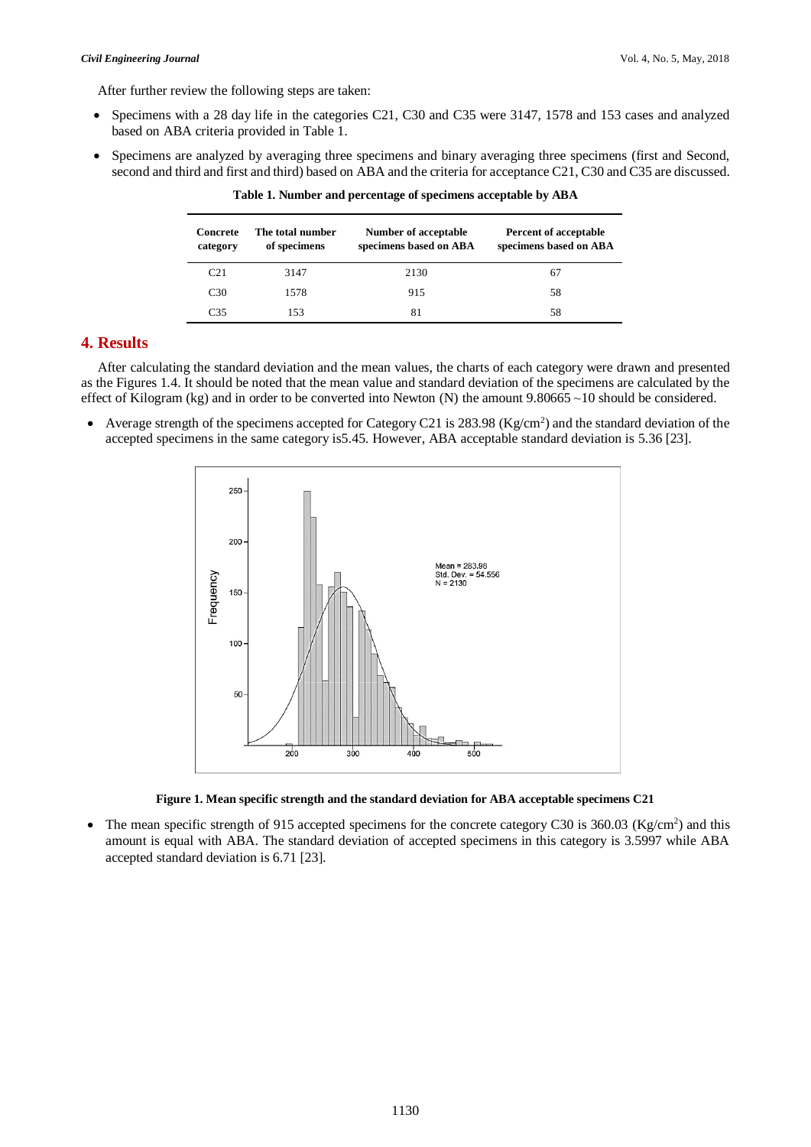After further review the following steps are taken:

- Specimens with a 28 day life in the categories C21, C30 and C35 were 3147, 1578 and 153 cases and analyzed based on ABA criteria provided in Table 1.
- Specimens are analyzed by averaging three specimens and binary averaging three specimens (first and Second, second and third and first and third) based on ABA and the criteria for acceptance C21, C30 and C35 are discussed.

| Concrete<br>category | The total number<br>of specimens | Number of acceptable<br>specimens based on ABA | Percent of acceptable<br>specimens based on ABA |
|----------------------|----------------------------------|------------------------------------------------|-------------------------------------------------|
| C <sub>21</sub>      | 3147                             | 2130                                           | 67                                              |
| C <sub>30</sub>      | 1578                             | 915                                            | 58                                              |
| C35                  | 153                              | 81                                             | 58                                              |

**Table 1. Number and percentage of specimens acceptable by ABA**

# **4. Results**

After calculating the standard deviation and the mean values, the charts of each category were drawn and presented as the Figures 1.4. It should be noted that the mean value and standard deviation of the specimens are calculated by the effect of Kilogram (kg) and in order to be converted into Newton (N) the amount  $9.80665 \sim 10$  should be considered.

• Average strength of the specimens accepted for Category C21 is 283.98 (Kg/cm<sup>2</sup>) and the standard deviation of the accepted specimens in the same category is5.45. However, ABA acceptable standard deviation is 5.36 [23].



**Figure 1. Mean specific strength and the standard deviation for ABA acceptable specimens C21**

• The mean specific strength of 915 accepted specimens for the concrete category C30 is  $360.03$  (Kg/cm<sup>2</sup>) and this amount is equal with ABA. The standard deviation of accepted specimens in this category is 3.5997 while ABA accepted standard deviation is 6.71 [23].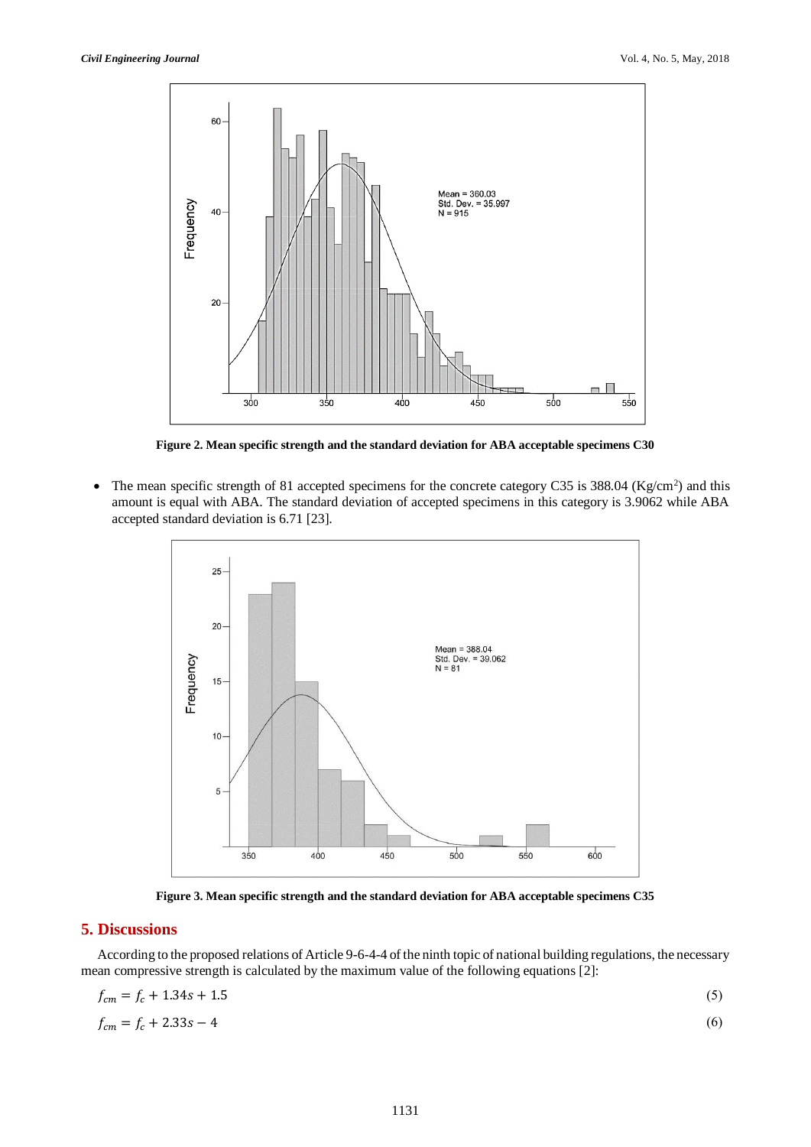

**Figure 2. Mean specific strength and the standard deviation for ABA acceptable specimens C30**

• The mean specific strength of 81 accepted specimens for the concrete category C35 is 388.04 ( $\text{Kg/cm}^2$ ) and this amount is equal with ABA. The standard deviation of accepted specimens in this category is 3.9062 while ABA accepted standard deviation is 6.71 [23].



**Figure 3. Mean specific strength and the standard deviation for ABA acceptable specimens C35**

## **5. Discussions**

According to the proposed relations of Article 9-6-4-4 of the ninth topic of national building regulations, the necessary mean compressive strength is calculated by the maximum value of the following equations [2]:

$$
f_{cm} = f_c + 1.34s + 1.5
$$
  
\n
$$
f_{cm} = f_c + 2.33s - 4
$$
\n(6)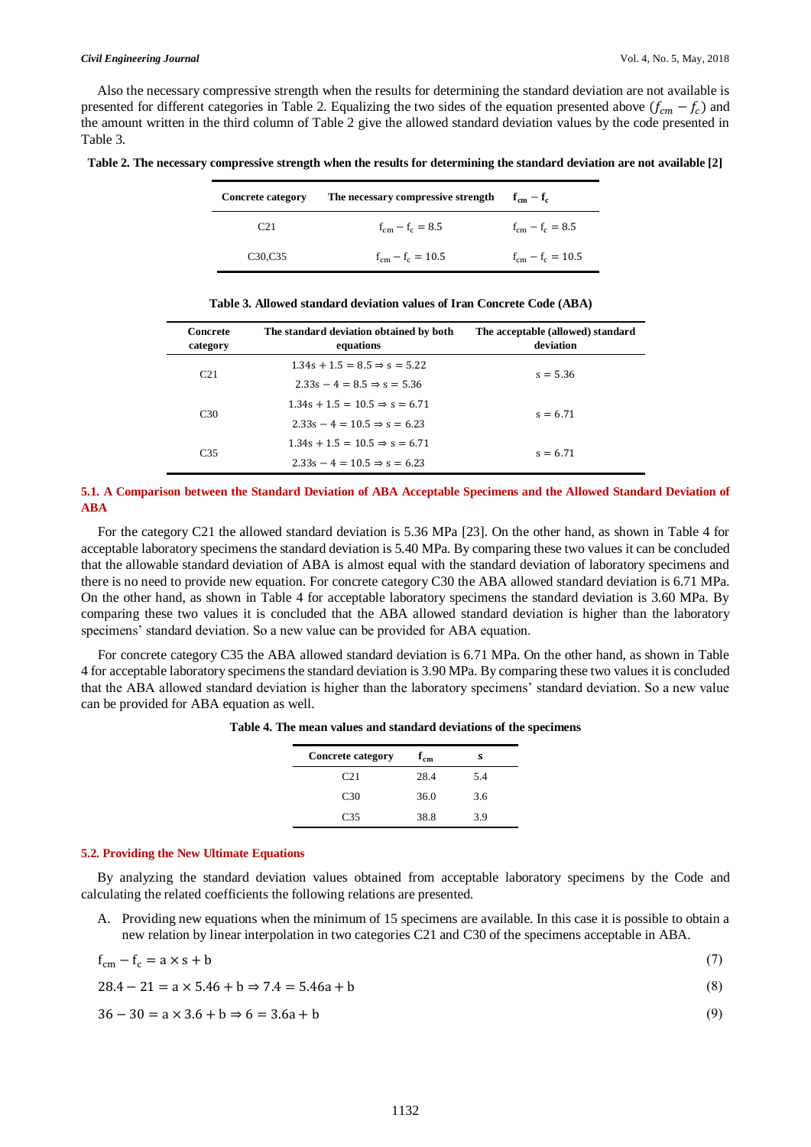Also the necessary compressive strength when the results for determining the standard deviation are not available is presented for different categories in Table 2. Equalizing the two sides of the equation presented above  $(f_{cm} - f_c)$  and the amount written in the third column of Table 2 give the allowed standard deviation values by the code presented in Table 3.

|  |  | Table 2. The necessary compressive strength when the results for determining the standard deviation are not available [2] |
|--|--|---------------------------------------------------------------------------------------------------------------------------|
|  |  |                                                                                                                           |

| <b>Concrete category</b>        | The necessary compressive strength | $f_{cm} - f_c$        |
|---------------------------------|------------------------------------|-----------------------|
| C21                             | $f_{cm} - f_c = 8.5$               | $f_{cm} - f_c = 8.5$  |
| C <sub>30</sub> C <sub>35</sub> | $f_{cm} - f_c = 10.5$              | $f_{cm} - f_c = 10.5$ |

| Concrete<br>category | The standard deviation obtained by both<br>equations | The acceptable (allowed) standard<br>deviation |
|----------------------|------------------------------------------------------|------------------------------------------------|
| C <sub>21</sub>      | $1.34s + 1.5 = 8.5 \Rightarrow s = 5.22$             | $s = 5.36$                                     |
|                      | $2.33s - 4 = 8.5 \Rightarrow s = 5.36$               |                                                |
| C <sub>30</sub>      | $1.34s + 1.5 = 10.5 \Rightarrow s = 6.71$            | $s = 6.71$                                     |
|                      | $2.33s - 4 = 10.5 \Rightarrow s = 6.23$              |                                                |
|                      | $1.34s + 1.5 = 10.5 \Rightarrow s = 6.71$            | $s = 6.71$                                     |
| C <sub>35</sub>      | $2.33s - 4 = 10.5 \Rightarrow s = 6.23$              |                                                |

**Table 3. Allowed standard deviation values of Iran Concrete Code (ABA)**

## **5.1. A Comparison between the Standard Deviation of ABA Acceptable Specimens and the Allowed Standard Deviation of ABA**

For the category C21 the allowed standard deviation is 5.36 MPa [23]. On the other hand, as shown in Table 4 for acceptable laboratory specimens the standard deviation is 5.40 MPa. By comparing these two values it can be concluded that the allowable standard deviation of ABA is almost equal with the standard deviation of laboratory specimens and there is no need to provide new equation. For concrete category C30 the ABA allowed standard deviation is 6.71 MPa. On the other hand, as shown in Table 4 for acceptable laboratory specimens the standard deviation is 3.60 MPa. By comparing these two values it is concluded that the ABA allowed standard deviation is higher than the laboratory specimens' standard deviation. So a new value can be provided for ABA equation.

For concrete category C35 the ABA allowed standard deviation is 6.71 MPa. On the other hand, as shown in Table 4 for acceptable laboratory specimens the standard deviation is 3.90 MPa. By comparing these two values it is concluded that the ABA allowed standard deviation is higher than the laboratory specimens' standard deviation. So a new value can be provided for ABA equation as well.

|  |  |  |  |  |  | Table 4. The mean values and standard deviations of the specimens |
|--|--|--|--|--|--|-------------------------------------------------------------------|
|--|--|--|--|--|--|-------------------------------------------------------------------|

| <b>Concrete category</b> | $4 \text{cm}$ | s   |  |
|--------------------------|---------------|-----|--|
| C <sub>21</sub>          | 28.4          | 5.4 |  |
| C <sub>30</sub>          | 36.0          | 3.6 |  |
| C35                      | 38.8          | 39  |  |

#### **5.2. Providing the New Ultimate Equations**

By analyzing the standard deviation values obtained from acceptable laboratory specimens by the Code and calculating the related coefficients the following relations are presented.

A. Providing new equations when the minimum of 15 specimens are available. In this case it is possible to obtain a new relation by linear interpolation in two categories C21 and C30 of the specimens acceptable in ABA.

$$
f_{\rm cm} - f_{\rm c} = a \times s + b \tag{7}
$$

$$
28.4 - 21 = a \times 5.46 + b \Rightarrow 7.4 = 5.46a + b \tag{8}
$$

$$
36 - 30 = a \times 3.6 + b \Rightarrow 6 = 3.6a + b \tag{9}
$$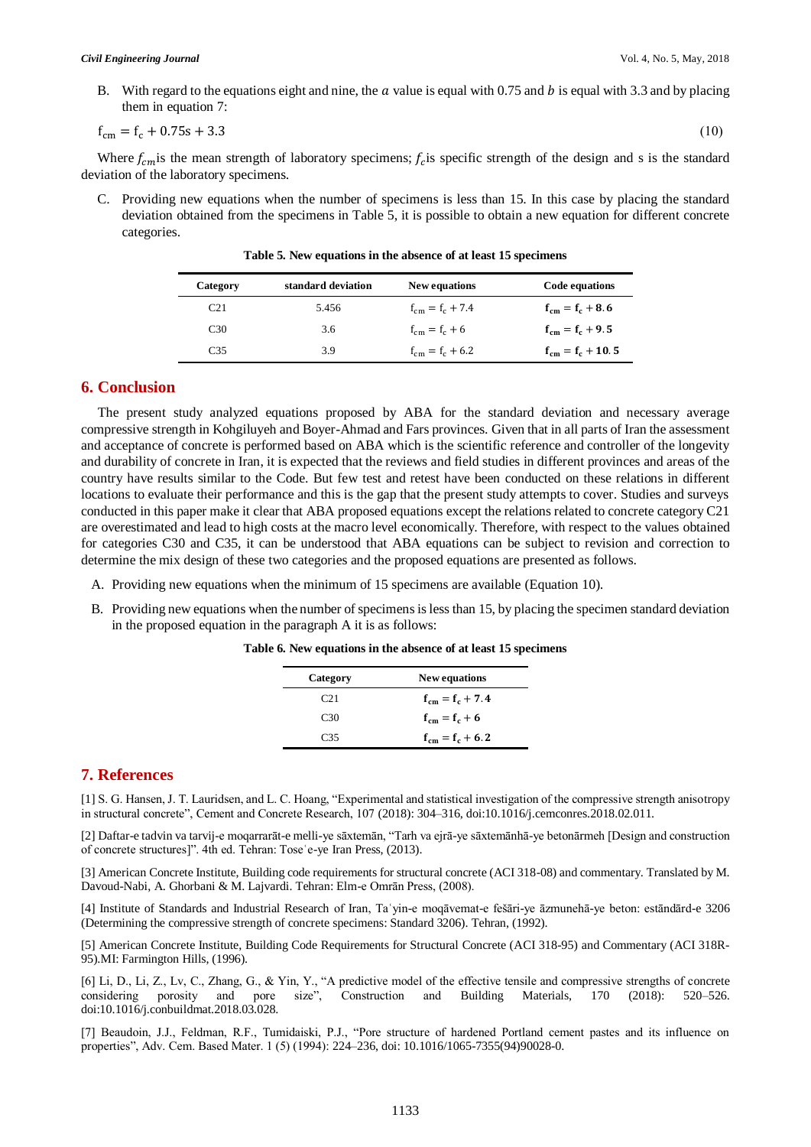B. With regard to the equations eight and nine, the  $\alpha$  value is equal with 0.75 and  $\beta$  is equal with 3.3 and by placing them in equation 7:

$$
f_{\rm cm} = f_{\rm c} + 0.75s + 3.3\tag{10}
$$

Where  $f_{cm}$  is the mean strength of laboratory specimens;  $f_c$  is specific strength of the design and s is the standard deviation of the laboratory specimens.

C. Providing new equations when the number of specimens is less than 15. In this case by placing the standard deviation obtained from the specimens in Table 5, it is possible to obtain a new equation for different concrete categories.

| Category        | standard deviation | New equations        | Code equations        |
|-----------------|--------------------|----------------------|-----------------------|
| C <sub>21</sub> | 5.456              | $f_{cm} = f_c + 7.4$ | $f_{cm} = f_c + 8.6$  |
| C <sub>30</sub> | 3.6                | $f_{cm} = f_c + 6$   | $f_{cm} = f_c + 9.5$  |
| C35             | 3.9                | $f_{cm} = f_c + 6.2$ | $f_{cm} = f_c + 10.5$ |

**Table 5. New equations in the absence of at least 15 specimens**

## **6. Conclusion**

The present study analyzed equations proposed by ABA for the standard deviation and necessary average compressive strength in Kohgiluyeh and Boyer-Ahmad and Fars provinces. Given that in all parts of Iran the assessment and acceptance of concrete is performed based on ABA which is the scientific reference and controller of the longevity and durability of concrete in Iran, it is expected that the reviews and field studies in different provinces and areas of the country have results similar to the Code. But few test and retest have been conducted on these relations in different locations to evaluate their performance and this is the gap that the present study attempts to cover. Studies and surveys conducted in this paper make it clear that ABA proposed equations except the relations related to concrete category C21 are overestimated and lead to high costs at the macro level economically. Therefore, with respect to the values obtained for categories C30 and C35, it can be understood that ABA equations can be subject to revision and correction to determine the mix design of these two categories and the proposed equations are presented as follows.

- A. Providing new equations when the minimum of 15 specimens are available (Equation 10).
- B. Providing new equations when the number of specimens is less than 15, by placing the specimen standard deviation in the proposed equation in the paragraph A it is as follows:

| Category        | New equations        |
|-----------------|----------------------|
| C21             | $f_{cm} = f_c + 7.4$ |
| C <sub>30</sub> | $f_{cm} = f_c + 6$   |
| C35             | $f_{cm} = f_c + 6.2$ |

**Table 6. New equations in the absence of at least 15 specimens**

# **7. References**

[1] S. G. Hansen, J. T. Lauridsen, and L. C. Hoang, "Experimental and statistical investigation of the compressive strength anisotropy in structural concrete", Cement and Concrete Research, 107 (2018): 304–316, doi:10.1016/j.cemconres.2018.02.011.

[2] Daftar-e tadvin va tarvij-e moqarrarāt-e melli-ye sāxtemān, "Tarh va ejrā-ye sāxtemānhā-ye betonārmeh [Design and construction of concrete structures]". 4th ed. Tehran: Toseʿe-ye Iran Press, (2013).

[3] American Concrete Institute, Building code requirements for structural concrete (ACI 318-08) and commentary. Translated by M. Davoud-Nabi, A. Ghorbani & M. Lajvardi. Tehran: Elm-e Omrān Press, (2008).

[4] Institute of Standards and Industrial Research of Iran, Taʿyin-e moqāvemat-e fešāri-ye āzmunehā-ye beton: estāndārd-e 3206 (Determining the compressive strength of concrete specimens: Standard 3206). Tehran, (1992).

[5] American Concrete Institute, Building Code Requirements for Structural Concrete (ACI 318-95) and Commentary (ACI 318R-95).MI: Farmington Hills, (1996).

[6] Li, D., Li, Z., Lv, C., Zhang, G., & Yin, Y., "A predictive model of the effective tensile and compressive strengths of concrete considering porosity and pore size", Construction and Building Materials, 170 (2018): 520–526. doi:10.1016/j.conbuildmat.2018.03.028.

[7] Beaudoin, J.J., Feldman, R.F., Tumidaiski, P.J., "Pore structure of hardened Portland cement pastes and its influence on properties", Adv. Cem. Based Mater. 1 (5) (1994): 224–236, doi: 10.1016/1065-7355(94)90028-0.